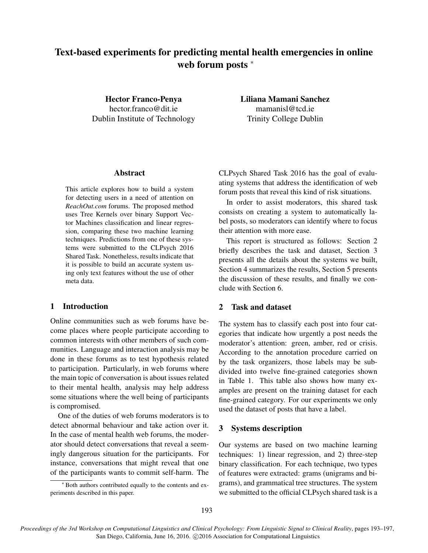# Text-based experiments for predicting mental health emergencies in online web forum posts  $*$

Hector Franco-Penya hector.franco@dit.ie Dublin Institute of Technology Liliana Mamani Sanchez mamanisl@tcd.ie Trinity College Dublin

# Abstract

This article explores how to build a system for detecting users in a need of attention on *ReachOut.com* forums. The proposed method uses Tree Kernels over binary Support Vector Machines classification and linear regression, comparing these two machine learning techniques. Predictions from one of these systems were submitted to the CLPsych 2016 Shared Task. Nonetheless, results indicate that it is possible to build an accurate system using only text features without the use of other meta data.

## 1 Introduction

Online communities such as web forums have become places where people participate according to common interests with other members of such communities. Language and interaction analysis may be done in these forums as to test hypothesis related to participation. Particularly, in web forums where the main topic of conversation is about issues related to their mental health, analysis may help address some situations where the well being of participants is compromised.

One of the duties of web forums moderators is to detect abnormal behaviour and take action over it. In the case of mental health web forums, the moderator should detect conversations that reveal a seemingly dangerous situation for the participants. For instance, conversations that might reveal that one of the participants wants to commit self-harm. The CLPsych Shared Task 2016 has the goal of evaluating systems that address the identification of web forum posts that reveal this kind of risk situations.

In order to assist moderators, this shared task consists on creating a system to automatically label posts, so moderators can identify where to focus their attention with more ease.

This report is structured as follows: Section 2 briefly describes the task and dataset, Section 3 presents all the details about the systems we built, Section 4 summarizes the results, Section 5 presents the discussion of these results, and finally we conclude with Section 6.

# 2 Task and dataset

The system has to classify each post into four categories that indicate how urgently a post needs the moderator's attention: green, amber, red or crisis. According to the annotation procedure carried on by the task organizers, those labels may be subdivided into twelve fine-grained categories shown in Table 1. This table also shows how many examples are present on the training dataset for each fine-grained category. For our experiments we only used the dataset of posts that have a label.

# 3 Systems description

Our systems are based on two machine learning techniques: 1) linear regression, and 2) three-step binary classification. For each technique, two types of features were extracted: grams (unigrams and bigrams), and grammatical tree structures. The system we submitted to the official CLPsych shared task is a

<sup>∗</sup> Both authors contributed equally to the contents and experiments described in this paper.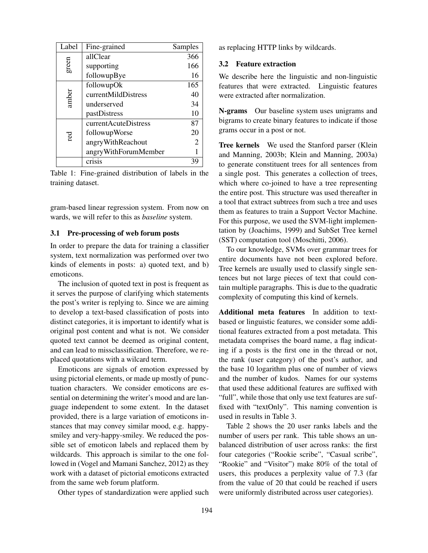| Label | Fine-grained         | Samples |
|-------|----------------------|---------|
| green | allClear             | 366     |
|       | supporting           | 166     |
|       | followupBye          | 16      |
| amber | followupOk           | 165     |
|       | currentMildDistress  | 40      |
|       | underserved          | 34      |
|       | pastDistress         | 10      |
| red   | currentAcuteDistress | 87      |
|       | followupWorse        | 20      |
|       | angryWithReachout    | 2       |
|       | angryWithForumMember |         |
|       | crisis               | 39      |

Table 1: Fine-grained distribution of labels in the training dataset.

gram-based linear regression system. From now on wards, we will refer to this as *baseline* system.

#### 3.1 Pre-processing of web forum posts

In order to prepare the data for training a classifier system, text normalization was performed over two kinds of elements in posts: a) quoted text, and b) emoticons.

The inclusion of quoted text in post is frequent as it serves the purpose of clarifying which statements the post's writer is replying to. Since we are aiming to develop a text-based classification of posts into distinct categories, it is important to identify what is original post content and what is not. We consider quoted text cannot be deemed as original content, and can lead to missclassification. Therefore, we replaced quotations with a wilcard term.

Emoticons are signals of emotion expressed by using pictorial elements, or made up mostly of punctuation characters. We consider emoticons are essential on determining the writer's mood and are language independent to some extent. In the dataset provided, there is a large variation of emoticons instances that may convey similar mood, e.g. happysmiley and very-happy-smiley. We reduced the possible set of emoticon labels and replaced them by wildcards. This approach is similar to the one followed in (Vogel and Mamani Sanchez, 2012) as they work with a dataset of pictorial emoticons extracted from the same web forum platform.

Other types of standardization were applied such

as replacing HTTP links by wildcards.

#### 3.2 Feature extraction

We describe here the linguistic and non-linguistic features that were extracted. Linguistic features were extracted after normalization.

N-grams Our baseline system uses unigrams and bigrams to create binary features to indicate if those grams occur in a post or not.

Tree kernels We used the Stanford parser (Klein and Manning, 2003b; Klein and Manning, 2003a) to generate constituent trees for all sentences from a single post. This generates a collection of trees, which where co-joined to have a tree representing the entire post. This structure was used thereafter in a tool that extract subtrees from such a tree and uses them as features to train a Support Vector Machine. For this purpose, we used the SVM-light implementation by (Joachims, 1999) and SubSet Tree kernel (SST) computation tool (Moschitti, 2006).

To our knowledge, SVMs over grammar trees for entire documents have not been explored before. Tree kernels are usually used to classify single sentences but not large pieces of text that could contain multiple paragraphs. This is due to the quadratic complexity of computing this kind of kernels.

Additional meta features In addition to textbased or linguistic features, we consider some additional features extracted from a post metadata. This metadata comprises the board name, a flag indicating if a posts is the first one in the thread or not, the rank (user category) of the post's author, and the base 10 logarithm plus one of number of views and the number of kudos. Names for our systems that used these additional features are suffixed with "full", while those that only use text features are suffixed with "textOnly". This naming convention is used in results in Table 3.

Table 2 shows the 20 user ranks labels and the number of users per rank. This table shows an unbalanced distribution of user across ranks: the first four categories ("Rookie scribe", "Casual scribe", "Rookie" and "Visitor") make 80% of the total of users, this produces a perplexity value of 7.3 (far from the value of 20 that could be reached if users were uniformly distributed across user categories).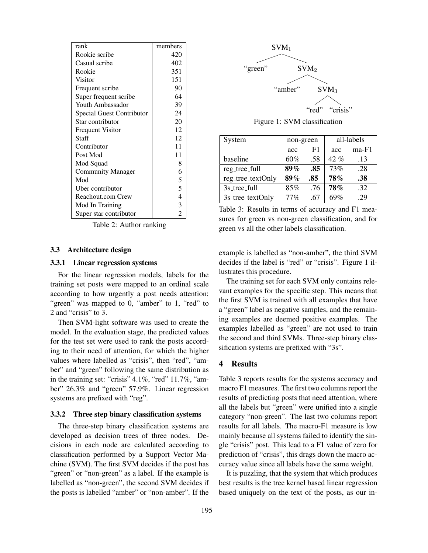| rank                      | members |
|---------------------------|---------|
| Rookie scribe             | 420     |
| Casual scribe             | 402     |
| Rookie                    | 351     |
| Visitor                   | 151     |
| Frequent scribe           | 90      |
| Super frequent scribe     | 64      |
| Youth Ambassador          | 39      |
| Special Guest Contributor | 24      |
| Star contributor          | 20      |
| <b>Frequent Visitor</b>   | 12      |
| Staff                     | 12      |
| Contributor               | 11      |
| Post Mod                  | 11      |
| Mod Squad                 | 8       |
| <b>Community Manager</b>  | 6       |
| Mod                       | 5       |
| Uber contributor          | 5       |
| Reachout.com Crew         | 4       |
| Mod In Training           | 3       |
| Super star contributor    | 2       |

Table 2: Author ranking

#### 3.3 Architecture design

#### 3.3.1 Linear regression systems

For the linear regression models, labels for the training set posts were mapped to an ordinal scale according to how urgently a post needs attention: "green" was mapped to 0, "amber" to 1, "red" to 2 and "crisis" to 3.

Then SVM-light software was used to create the model. In the evaluation stage, the predicted values for the test set were used to rank the posts according to their need of attention, for which the higher values where labelled as "crisis", then "red", "amber" and "green" following the same distribution as in the training set: "crisis" 4.1%, "red" 11.7%, "amber" 26.3% and "green" 57.9%. Linear regression systems are prefixed with "reg".

#### 3.3.2 Three step binary classification systems

The three-step binary classification systems are developed as decision trees of three nodes. Decisions in each node are calculated according to classification performed by a Support Vector Machine (SVM). The first SVM decides if the post has "green" or "non-green" as a label. If the example is labelled as "non-green", the second SVM decides if the posts is labelled "amber" or "non-amber". If the



Figure 1: SVM classification

| System            | non-green |     | all-labels |         |
|-------------------|-----------|-----|------------|---------|
|                   | acc       | F1  | acc        | $ma-F1$ |
| baseline          | 60%       | .58 | $42\%$     | .13     |
| reg_tree_full     | 89%       | .85 | 73%        | .28     |
| reg_tree_textOnly | 89%       | .85 | <b>78%</b> | .38     |
| 3s_tree_full      | 85%       | .76 | <b>78%</b> | .32     |
| 3s_tree_textOnly  | 77%       | .67 | 69%        | 29      |

Table 3: Results in terms of accuracy and F1 measures for green vs non-green classification, and for green vs all the other labels classification.

example is labelled as "non-amber", the third SVM decides if the label is "red" or "crisis". Figure 1 illustrates this procedure.

The training set for each SVM only contains relevant examples for the specific step. This means that the first SVM is trained with all examples that have a "green" label as negative samples, and the remaining examples are deemed positive examples. The examples labelled as "green" are not used to train the second and third SVMs. Three-step binary classification systems are prefixed with "3s".

### 4 Results

Table 3 reports results for the systems accuracy and macro F1 measures. The first two columns report the results of predicting posts that need attention, where all the labels but "green" were unified into a single category "non-green". The last two columns report results for all labels. The macro-F1 measure is low mainly because all systems failed to identify the single "crisis" post. This lead to a F1 value of zero for prediction of "crisis", this drags down the macro accuracy value since all labels have the same weight.

It is puzzling, that the system that which produces best results is the tree kernel based linear regression based uniquely on the text of the posts, as our in-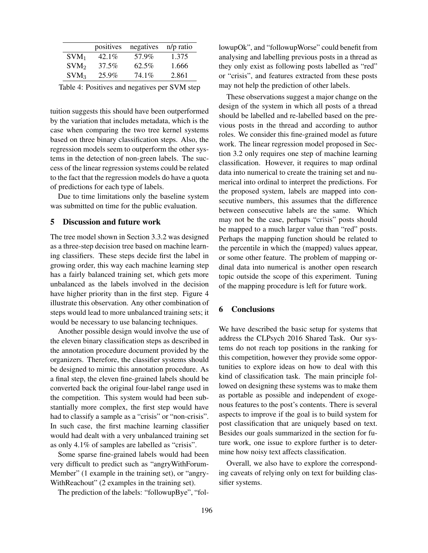|                  | positives | negatives | n/p ratio |
|------------------|-----------|-----------|-----------|
| $SVM_1$          | $42.1\%$  | 57.9%     | 1.375     |
| SVM <sub>2</sub> | 37.5%     | $62.5\%$  | 1.666     |
| SVM <sub>3</sub> | 25.9%     | 74.1%     | 2.861     |

Table 4: Positives and negatives per SVM step

tuition suggests this should have been outperformed by the variation that includes metadata, which is the case when comparing the two tree kernel systems based on three binary classification steps. Also, the regression models seem to outperform the other systems in the detection of non-green labels. The success of the linear regression systems could be related to the fact that the regression models do have a quota of predictions for each type of labels.

Due to time limitations only the baseline system was submitted on time for the public evaluation.

#### 5 Discussion and future work

The tree model shown in Section 3.3.2 was designed as a three-step decision tree based on machine learning classifiers. These steps decide first the label in growing order, this way each machine learning step has a fairly balanced training set, which gets more unbalanced as the labels involved in the decision have higher priority than in the first step. Figure 4 illustrate this observation. Any other combination of steps would lead to more unbalanced training sets; it would be necessary to use balancing techniques.

Another possible design would involve the use of the eleven binary classification steps as described in the annotation procedure document provided by the organizers. Therefore, the classifier systems should be designed to mimic this annotation procedure. As a final step, the eleven fine-grained labels should be converted back the original four-label range used in the competition. This system would had been substantially more complex, the first step would have had to classify a sample as a "crisis" or "non-crisis". In such case, the first machine learning classifier would had dealt with a very unbalanced training set as only 4.1% of samples are labelled as "crisis".

Some sparse fine-grained labels would had been very difficult to predict such as "angryWithForum-Member" (1 example in the training set), or "angry-WithReachout" (2 examples in the training set).

The prediction of the labels: "followupBye", "fol-

lowupOk", and "followupWorse" could benefit from analysing and labelling previous posts in a thread as they only exist as following posts labelled as "red" or "crisis", and features extracted from these posts may not help the prediction of other labels.

These observations suggest a major change on the design of the system in which all posts of a thread should be labelled and re-labelled based on the previous posts in the thread and according to author roles. We consider this fine-grained model as future work. The linear regression model proposed in Section 3.2 only requires one step of machine learning classification. However, it requires to map ordinal data into numerical to create the training set and numerical into ordinal to interpret the predictions. For the proposed system, labels are mapped into consecutive numbers, this assumes that the difference between consecutive labels are the same. Which may not be the case, perhaps "crisis" posts should be mapped to a much larger value than "red" posts. Perhaps the mapping function should be related to the percentile in which the (mapped) values appear, or some other feature. The problem of mapping ordinal data into numerical is another open research topic outside the scope of this experiment. Tuning of the mapping procedure is left for future work.

## 6 Conclusions

We have described the basic setup for systems that address the CLPsych 2016 Shared Task. Our systems do not reach top positions in the ranking for this competition, however they provide some opportunities to explore ideas on how to deal with this kind of classification task. The main principle followed on designing these systems was to make them as portable as possible and independent of exogenous features to the post's contents. There is several aspects to improve if the goal is to build system for post classification that are uniquely based on text. Besides our goals summarized in the section for future work, one issue to explore further is to determine how noisy text affects classification.

Overall, we also have to explore the corresponding caveats of relying only on text for building classifier systems.